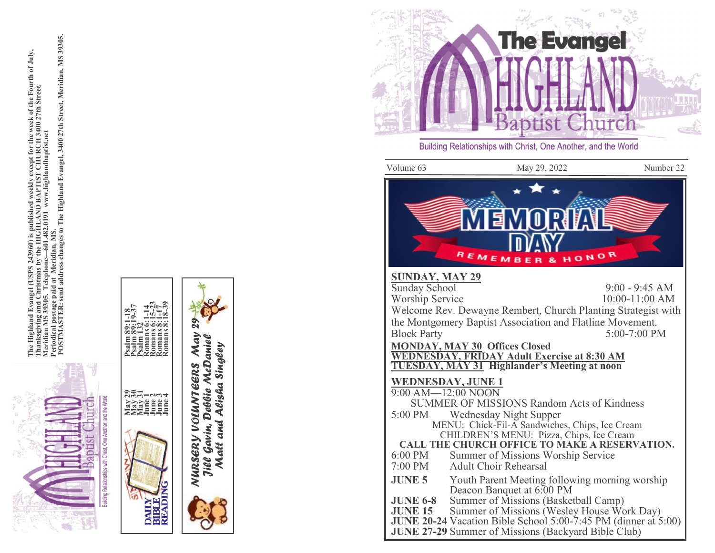

el (USPS 243960) is published weekly except for the week of the Fourth of July,<br>rristmas by the HIGHLAND BAPTIST CHURCH 3400 27th Street,<br>Telephone—601.482.0191 www.highlandbaptist.net<br>id at Meridian, MS.<br>d address chang The Highland Evangel (USPS 243960) is published weekly except for the week of the Fourth of July,<br>Thanksgiving and Christmas by the HIGHLAND BAPTIST CHURCH 3400 27th Street,<br>Periodical post 39305. Tat Meridim. 1482.0191 ww Thanksgiving and Christ<br>Meridian MS 39305. Tel<br>Periodical postage paid a<br>POSTMASTER: send ad



*Jill Gavin, Debbie McDaniel Matt and Alisha Singley*

Jill Gavin, Debbie McDaniel Matt and Alisha Singley





Building Relationships with Christ, One Another, and the World

Volume 63 May 29, 2022 Number 22



#### **SUNDAY, MAY 29**

Sunday School  $9:00 - 9:45$  AM Worship Service  $10:00 - 11:00$  AM Welcome Rev. Dewayne Rembert, Church Planting Strategist with the Montgomery Baptist Association and Flatline Movement. **Block Party**  $5:00 - 7:00$  PM

**MONDAY, MAY 30 Offices Closed WEDNESDAY, FRIDAY Adult Exercise at 8:30 AM TUESDAY, MAY 31 Highlander 's Meeting at noon**

### **WEDNESDAY, JUNE 1**

9:00 AM —12:00 NOON SUMMER OF MISSIONS Random Acts of Kindness<br>5:00 PM Wednesday Night Supper Wednesday Night Supper MENU: Chick -Fil -A Sandwiches, Chips, Ice Cream CHILDREN 'S MENU: Pizza, Chips, Ice Cream **CALL THE CHURCH OFFICE TO MAKE A RESERVATION.** 6:00 PM Summer of Missions Worship Service 7:00 PM Adult Choir Rehearsal **JUNE 5** Youth Parent Meeting following morning worship

- Deacon Banquet at 6:00 PM
- **JUNE 6 - SUME 6-8** Summer of Missions (Basketball Camp)<br>**JUNE 15** Summer of Missions (Wesley House Wo
- Summer of Missions (Wesley House Work Day)

**JUNE 20 -24** Vacation Bible School 5:00 -7:45 PM (dinner at 5:00)

**JUNE 27 -29** Summer of Missions (Backyard Bible Club)